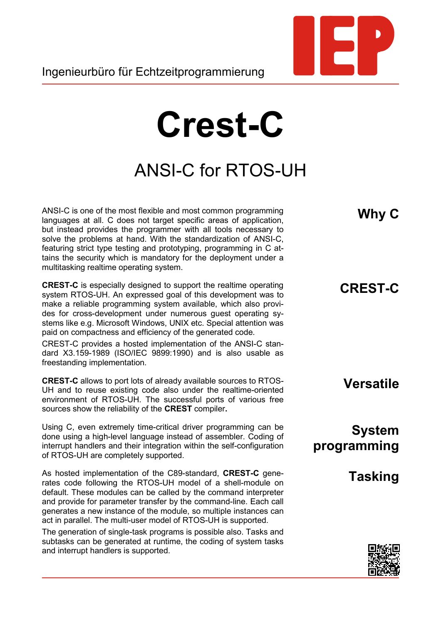## **Crest-C**

## ANSI-C for RTOS-UH

ANSI-C is one of the most flexible and most common programming languages at all. C does not target specific areas of application, but instead provides the programmer with all tools necessary to solve the problems at hand. With the standardization of ANSI-C, featuring strict type testing and prototyping, programming in C attains the security which is mandatory for the deployment under a multitasking realtime operating system.

**CREST-C** is especially designed to support the realtime operating system RTOS-UH. An expressed goal of this development was to make a reliable programming system available, which also provides for cross-development under numerous guest operating systems like e.g. Microsoft Windows, UNIX etc. Special attention was paid on compactness and efficiency of the generated code.

CREST-C provides a hosted implementation of the ANSI-C standard X3.159-1989 (ISO/IEC 9899:1990) and is also usable as freestanding implementation.

**CREST-C** allows to port lots of already available sources to RTOS-UH and to reuse existing code also under the realtime-oriented environment of RTOS-UH. The successful ports of various free sources show the reliability of the **CREST** compiler**.**

Using C, even extremely time-critical driver programming can be done using a high-level language instead of assembler. Coding of interrupt handlers and their integration within the self-configuration of RTOS-UH are completely supported.

As hosted implementation of the C89-standard, **CREST-C** generates code following the RTOS-UH model of a shell-module on default. These modules can be called by the command interpreter and provide for parameter transfer by the command-line. Each call generates a new instance of the module, so multiple instances can act in parallel. The multi-user model of RTOS-UH is supported.

The generation of single-task programs is possible also. Tasks and subtasks can be generated at runtime, the coding of system tasks and interrupt handlers is supported.

**Why C**

**CREST-C**

**Versatile**

**System programming**

**Tasking**